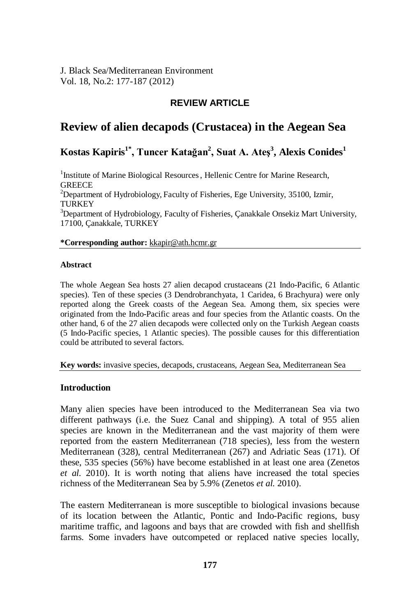J. Black Sea/Mediterranean Environment Vol. 18, No.2: 177-187 (2012)

## **REVIEW ARTICLE**

## **Review of alien decapods (Crustacea) in the Aegean Sea**

# **Kostas Kapiris1\*, Tuncer Katağan<sup>2</sup> , Suat A. Ateş<sup>3</sup> , Alexis Conides<sup>1</sup>**

<sup>1</sup> Institute of Marine Biological Resources, Hellenic Centre for Marine Research, **GREECE** 

<sup>2</sup>Department of Hydrobiology, Faculty of Fisheries, Ege University, 35100, Izmir, TURKEY

<sup>3</sup>Department of Hydrobiology, Faculty of Fisheries, Çanakkale Onsekiz Mart University, 17100, Çanakkale, TURKEY

#### **\*Corresponding author:** [kkapir@ath.hcmr.gr](mailto:kkapir@ath.hcmr.gr)

#### **Abstract**

The whole Aegean Sea hosts 27 alien decapod crustaceans (21 Indo-Pacific, 6 Atlantic species). Ten of these species (3 Dendrobranchyata, 1 Caridea, 6 Brachyura) were only reported along the Greek coasts of the Aegean Sea. Among them, six species were originated from the Indo-Pacific areas and four species from the Atlantic coasts. On the other hand, 6 of the 27 alien decapods were collected only on the Turkish Aegean coasts (5 Indo-Pacific species, 1 Atlantic species). The possible causes for this differentiation could be attributed to several factors.

#### **Key words:** invasive species, decapods, crustaceans, Aegean Sea, Mediterranean Sea

#### **Introduction**

Many alien species have been introduced to the Mediterranean Sea via two different pathways (i.e. the Suez Canal and shipping). A total of 955 alien species are known in the Mediterranean and the vast majority of them were reported from the eastern Mediterranean (718 species), less from the western Mediterranean (328), central Mediterranean (267) and Adriatic Seas (171). Of these, 535 species (56%) have become established in at least one area (Zenetos *et al.* 2010). It is worth noting that aliens have increased the total species richness of the Mediterranean Sea by 5.9% (Zenetos *et al.* 2010).

The eastern Mediterranean is more susceptible to biological invasions because of its location between the Atlantic, Pontic and Indo-Pacific regions, busy maritime traffic, and lagoons and bays that are crowded with fish and shellfish farms. Some invaders have outcompeted or replaced native species locally,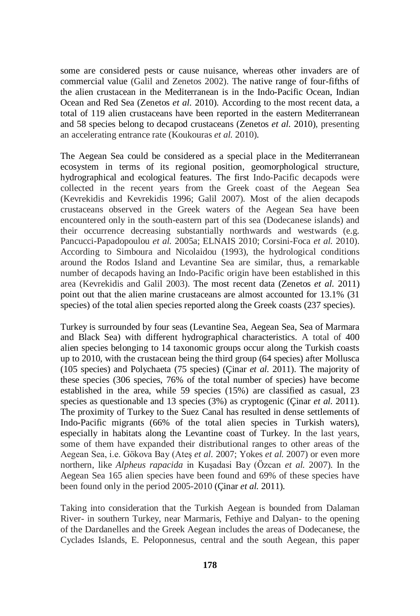some are considered pests or cause nuisance, whereas other invaders are of commercial value (Galil and Zenetos 2002). The native range of four-fifths of the alien crustacean in the Mediterranean is in the Indo-Pacific Ocean, Indian Ocean and Red Sea (Zenetos *et al.* 2010). According to the most recent data, a total of 119 alien crustaceans have been reported in the eastern Mediterranean and 58 species belong to decapod crustaceans (Zenetos *et al.* 2010), presenting an accelerating entrance rate (Koukouras *et al.* 2010).

The Aegean Sea could be considered as a special place in the Mediterranean ecosystem in terms of its regional position, geomorphological structure, hydrographical and ecological features. The first Indo-Pacific decapods were collected in the recent years from the Greek coast of the Aegean Sea (Kevrekidis and Kevrekidis 1996; Galil 2007). Most of the alien decapods crustaceans observed in the Greek waters of the Aegean Sea have been encountered only in the south-eastern part of this sea (Dodecanese islands) and their occurrence decreasing substantially northwards and westwards (e.g. Pancucci-Papadopoulou *et al.* 2005a; ELNAIS 2010; Corsini-Foca *et al.* 2010). According to Simboura and Nicolaidou (1993), the hydrological conditions around the Rodos Island and Levantine Sea are similar, thus, a remarkable number of decapods having an Indo-Pacific origin have been established in this area (Kevrekidis and Galil 2003). The most recent data (Zenetos *et al.* 2011) point out that the alien marine crustaceans are almost accounted for 13.1% (31 species) of the total alien species reported along the Greek coasts (237 species).

Turkey is surrounded by four seas (Levantine Sea, Aegean Sea, Sea of Marmara and Black Sea) with different hydrographical characteristics. A total of 400 alien species belonging to 14 taxonomic groups occur along the Turkish coasts up to 2010, with the crustacean being the third group (64 species) after Mollusca (105 species) and Polychaeta (75 species) (Çinar *et al.* 2011). The majority of these species (306 species, 76% of the total number of species) have become established in the area, while 59 species (15%) are classified as casual, 23 species as questionable and 13 species (3%) as cryptogenic (Çinar *et al.* 2011). The proximity of Turkey to the Suez Canal has resulted in dense settlements of Indo-Pacific migrants (66% of the total alien species in Turkish waters), especially in habitats along the Levantine coast of Turkey. In the last years, some of them have expanded their distributional ranges to other areas of the Aegean Sea, i.e. Gökova Bay (Ateş *et al.* 2007; Yokes *et al.* 2007) or even more northern, like *Alpheus rapacida* in Kuşadasi Bay (Özcan *et al.* 2007). In the Aegean Sea 165 alien species have been found and 69% of these species have been found only in the period 2005-2010 (Çinar *et al.* 2011).

Taking into consideration that the Turkish Aegean is bounded from Dalaman River- in southern Turkey, near Marmaris, Fethiye and Dalyan- to the opening of the Dardanelles and the Greek Aegean includes the areas of Dodecanese, the Cyclades Islands, E. Peloponnesus, central and the south Aegean, this paper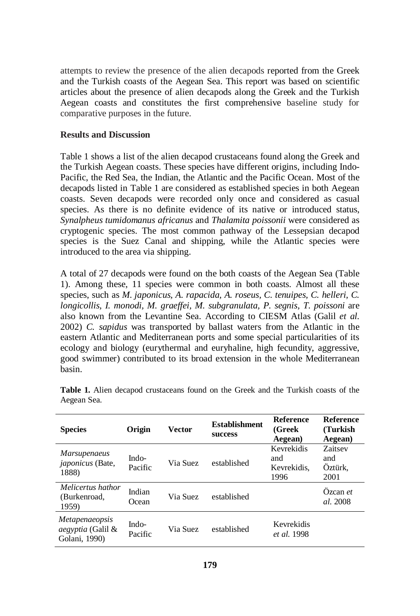attempts to review the presence of the alien decapods reported from the Greek and the Turkish coasts of the Aegean Sea. This report was based on scientific articles about the presence of alien decapods along the Greek and the Turkish Aegean coasts and constitutes the first comprehensive baseline study for comparative purposes in the future.

## **Results and Discussion**

Table 1 shows a list of the alien decapod crustaceans found along the Greek and the Turkish Aegean coasts. These species have different origins, including Indo-Pacific, the Red Sea, the Indian, the Atlantic and the Pacific Ocean. Most of the decapods listed in Table 1 are considered as established species in both Aegean coasts. Seven decapods were recorded only once and considered as casual species. As there is no definite evidence of its native or introduced status, *Synalpheus tumidomanus africanus* and *Thalamita poissonii* were considered as cryptogenic species. The most common pathway of the Lessepsian decapod species is the Suez Canal and shipping, while the Atlantic species were introduced to the area via shipping.

A total of 27 decapods were found on the both coasts of the Aegean Sea (Table 1). Among these, 11 species were common in both coasts. Almost all these species, such as *M*. *japonicus, A. rapacida, A. roseus, C. tenuipes, C. helleri, C. longicollis, I. monodi, M. graeffei, M. subgranulata, P. segnis, T. poissoni* are also known from the Levantine Sea. According to CIESM Atlas (Galil *et al.* 2002) *C. sapidus* was transported by ballast waters from the Atlantic in the eastern Atlantic and Mediterranean ports and some special particularities of its ecology and biology (eurythermal and euryhaline, high fecundity, aggressive, good swimmer) contributed to its broad extension in the whole Mediterranean basin.

| <b>Species</b>                                                     | Origin           | <b>Vector</b> | <b>Establishment</b><br>success | <b>Reference</b><br>(Greek<br>Aegean)    | <b>Reference</b><br>(Turkish<br>Aegean) |
|--------------------------------------------------------------------|------------------|---------------|---------------------------------|------------------------------------------|-----------------------------------------|
| <i>Marsupenaeus</i><br><i>japonicus</i> (Bate,<br>1888)            | Indo-<br>Pacific | Via Suez      | established                     | Kevrekidis<br>and<br>Kevrekidis.<br>1996 | Zaitsev<br>and<br>Öztürk.<br>2001       |
| Melicertus hathor<br>(Burkenroad,<br>1959)                         | Indian<br>Ocean  | Via Suez      | established                     |                                          | $Ozcan$ et<br>al. 2008                  |
| <i>Metapenaeopsis</i><br><i>aegyptia</i> (Galil &<br>Golani, 1990) | Indo-<br>Pacific | Via Suez      | established                     | Kevrekidis<br>et al. 1998                |                                         |

**Table 1.** Alien decapod crustaceans found on the Greek and the Turkish coasts of the Aegean Sea.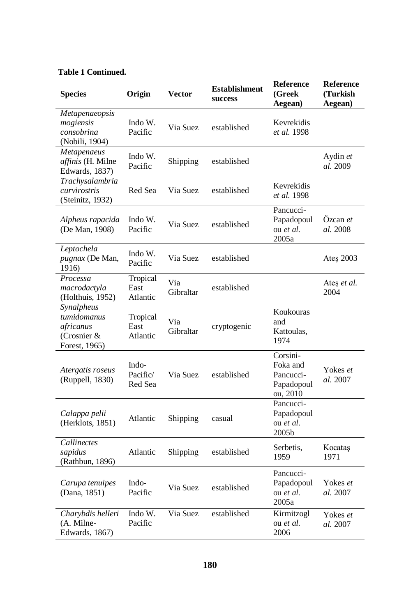| <b>Species</b>                                                         | Origin                       | Vector           | <b>Establishment</b><br>success | <b>Reference</b><br>(Greek<br>Aegean)                       | Reference<br>(Turkish<br>Aegean) |
|------------------------------------------------------------------------|------------------------------|------------------|---------------------------------|-------------------------------------------------------------|----------------------------------|
| Metapenaeopsis<br>mogiensis<br>consobrina<br>(Nobili, 1904)            | Indo W.<br>Pacific           | Via Suez         | established                     | Kevrekidis<br>et al. 1998                                   |                                  |
| <b>Metapenaeus</b><br><i>affinis</i> (H. Milne<br>Edwards, 1837)       | Indo W.<br>Pacific           | Shipping         | established                     |                                                             | Aydin et<br>al. 2009             |
| Trachysalambria<br>curvirostris<br>(Steinitz, 1932)                    | Red Sea                      | Via Suez         | established                     | Kevrekidis<br>et al. 1998                                   |                                  |
| Alpheus rapacida<br>(De Man, 1908)                                     | Indo W.<br>Pacific           | Via Suez         | established                     | Pancucci-<br>Papadopoul<br>ou et al.<br>2005a               | Ozcan et<br>al. 2008             |
| Leptochela<br><i>pugnax</i> (De Man,<br>1916)                          | Indo W.<br>Pacific           | Via Suez         | established                     |                                                             | Ates 2003                        |
| Processa<br>macrodactyla<br>(Holthuis, 1952)                           | Tropical<br>East<br>Atlantic | Via<br>Gibraltar | established                     |                                                             | Ates <i>et al.</i><br>2004       |
| Synalpheus<br>tumidomanus<br>africanus<br>(Crosnier &<br>Forest, 1965) | Tropical<br>East<br>Atlantic | Via<br>Gibraltar | cryptogenic                     | Koukouras<br>and<br>Kattoulas,<br>1974                      |                                  |
| Atergatis roseus<br>(Ruppell, 1830)                                    | Indo-<br>Pacific/<br>Red Sea | Via Suez         | established                     | Corsini-<br>Foka and<br>Pancucci-<br>Papadopoul<br>ou, 2010 | Yokes et<br>al. 2007             |
| Calappa pelii<br>(Herklots, 1851)                                      | Atlantic                     | Shipping         | casual                          | Pancucci-<br>Papadopoul<br>ou <i>et al.</i><br>2005b        |                                  |
| Callinectes<br>sapidus<br>(Rathbun, 1896)                              | Atlantic                     | Shipping         | established                     | Serbetis,<br>1959                                           | Kocataş<br>1971                  |
| Carupa tenuipes<br>(Dana, 1851)                                        | Indo-<br>Pacific             | Via Suez         | established                     | Pancucci-<br>Papadopoul<br>ou et al.<br>2005a               | Yokes et<br>al. 2007             |
| Charybdis helleri<br>(A. Milne-<br>Edwards, 1867)                      | Indo W.<br>Pacific           | Via Suez         | established                     | Kirmitzogl<br>ou et al.<br>2006                             | Yokes et<br>al. 2007             |

### **Table 1 Continued.**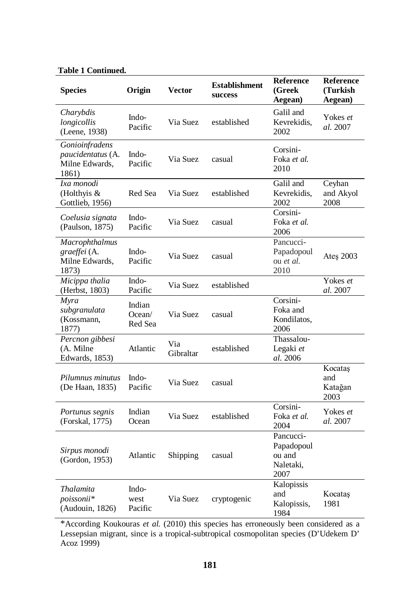| <b>Species</b>                                                 | Origin                      | Vector           | <b>Establishment</b><br>success | Reference<br>(Greek<br>Aegean)                         | Reference<br>(Turkish<br>Aegean)  |
|----------------------------------------------------------------|-----------------------------|------------------|---------------------------------|--------------------------------------------------------|-----------------------------------|
| Charybdis<br>longicollis<br>(Leene, 1938)                      | Indo-<br>Pacific            | Via Suez         | established                     | Galil and<br>Kevrekidis,<br>2002                       | Yokes et<br>al. 2007              |
| Gonioinfradens<br>paucidentatus (A.<br>Milne Edwards,<br>1861) | Indo-<br>Pacific            | Via Suez         | casual                          | Corsini-<br>Foka et al.<br>2010                        |                                   |
| Ixa monodi<br>(Holthyis &<br>Gottlieb, 1956)                   | Red Sea                     | Via Suez         | established                     | Galil and<br>Kevrekidis,<br>2002                       | Ceyhan<br>and Akyol<br>2008       |
| Coelusia signata<br>(Paulson, 1875)                            | Indo-<br>Pacific            | Via Suez         | casual                          | Corsini-<br>Foka et al.<br>2006                        |                                   |
| Macrophthalmus<br>graeffei (A.<br>Milne Edwards,<br>1873)      | Indo-<br>Pacific            | Via Suez         | casual                          | Pancucci-<br>Papadopoul<br>ou et al.<br>2010           | Ates 2003                         |
| Micippa thalia<br>(Herbst, 1803)                               | Indo-<br>Pacific            | Via Suez         | established                     |                                                        | Yokes et<br>al. 2007              |
| Myra<br>subgranulata<br>(Kossmann,<br>1877)                    | Indian<br>Ocean/<br>Red Sea | Via Suez         | casual                          | Corsini-<br>Foka and<br>Kondilatos,<br>2006            |                                   |
| Percnon gibbesi<br>(A. Milne<br>Edwards, 1853)                 | Atlantic                    | Via<br>Gibraltar | established                     | Thassalou-<br>Legaki et<br>al. 2006                    |                                   |
| Pilumnus minutus<br>(De Haan, 1835)                            | Indo-<br>Pacific            | Via Suez         | casual                          |                                                        | Kocataş<br>and<br>Katağan<br>2003 |
| Portunus segnis<br>(Forskal, 1775)                             | Indian<br>Ocean             | Via Suez         | established                     | Corsini-<br>Foka et al.<br>2004                        | Yokes et<br>al. 2007              |
| Sirpus monodi<br>(Gordon, 1953)                                | Atlantic                    | Shipping         | casual                          | Pancucci-<br>Papadopoul<br>ou and<br>Naletaki,<br>2007 |                                   |
| Thalamita<br>poissonii*<br>(Audouin, 1826)                     | Indo-<br>west<br>Pacific    | Via Suez         | cryptogenic                     | Kalopissis<br>and<br>Kalopissis,<br>1984               | Kocataş<br>1981                   |

## **Table 1 Continued.**

\*According Koukouras *et al.* (2010) this species has erroneously been considered as a Lessepsian migrant, since is a tropical-subtropical cosmopolitan species (D'Udekem D' Acoz 1999)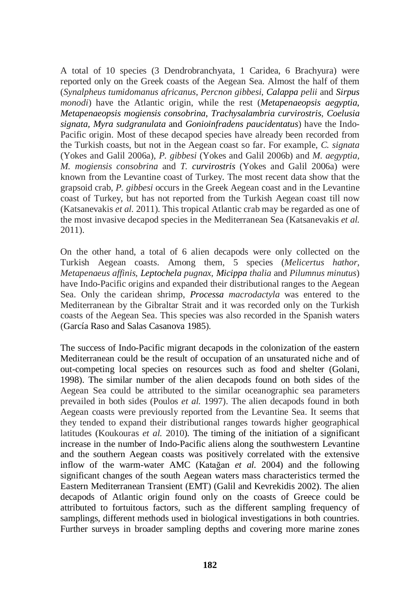A total of 10 species (3 Dendrobranchyata, 1 Caridea, 6 Brachyura) were reported only on the Greek coasts of the Aegean Sea. Almost the half of them (*Synalpheus tumidomanus africanus*, *Percnon gibbesi*, *Calappa pelii* and *Sirpus monodi*) have the Atlantic origin, while the rest (*Metapenaeopsis aegyptia*, *Metapenaeopsis mogiensis consobrina*, *Trachysalambria curvirostris*, *Coelusia signata, Myra sudgranulata* and *Gonioinfradens paucidentatus*) have the Indo-Pacific origin. Most of these decapod species have already been recorded from the Turkish coasts, but not in the Aegean coast so far. For example, *C. signata* (Yokes and Galil 2006a), *P. gibbesi* (Yokes and Galil 2006b) and *M. aegyptia, M. mogiensis consobrina* and *T. curvirostris* (Yokes and Galil 2006a) were known from the Levantine coast of Turkey. The most recent data show that the grapsoid crab, *P. gibbesi* occurs in the Greek Aegean coast and in the Levantine coast of Turkey, but has not reported from the Turkish Aegean coast till now (Katsanevakis *et al.* 2011). This tropical Atlantic crab may be regarded as one of the most invasive decapod species in the Mediterranean Sea (Katsanevakis *et al.* 2011).

On the other hand, a total of 6 alien decapods were only collected on the Turkish Aegean coasts. Among them, 5 species (*Melicertus hathor, Metapenaeus affinis, Leptochela pugnax, Micippa thalia* and *Pilumnus minutus*) have Indo-Pacific origins and expanded their distributional ranges to the Aegean Sea. Only the caridean shrimp, *Processa macrodactyla* was entered to the Mediterranean by the Gibraltar Strait and it was recorded only on the Turkish coasts of the Aegean Sea. This species was also recorded in the Spanish waters (García Raso and Salas Casanova 1985).

The success of Indo-Pacific migrant decapods in the colonization of the eastern Mediterranean could be the result of occupation of an unsaturated niche and of out-competing local species on resources such as food and shelter (Golani, 1998). The similar number of the alien decapods found on both sides of the Aegean Sea could be attributed to the similar oceanographic sea parameters prevailed in both sides (Poulos *et al.* 1997). The alien decapods found in both Aegean coasts were previously reported from the Levantine Sea. It seems that they tended to expand their distributional ranges towards higher geographical latitudes (Koukouras *et al.* 2010). The timing of the initiation of a significant increase in the number of Indo-Pacific aliens along the southwestern Levantine and the southern Aegean coasts was positively correlated with the extensive inflow of the warm-water AMC (Katağan *et al.* 2004) and the following significant changes of the south Aegean waters mass characteristics termed the Eastern Mediterranean Transient (EMT) (Galil and Kevrekidis 2002). The alien decapods of Atlantic origin found only on the coasts of Greece could be attributed to fortuitous factors, such as the different sampling frequency of samplings, different methods used in biological investigations in both countries. Further surveys in broader sampling depths and covering more marine zones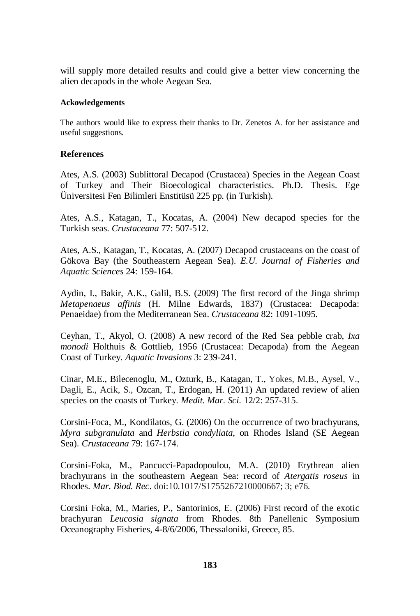will supply more detailed results and could give a better view concerning the alien decapods in the whole Aegean Sea.

#### **Ackowledgements**

The authors would like to express their thanks to Dr. Zenetos A. for her assistance and useful suggestions.

### **References**

Ates, A.S. (2003) Sublittoral Decapod (Crustacea) Species in the Aegean Coast of Turkey and Their Bioecological characteristics. Ph.D. Thesis. Ege Üniversitesi Fen Bilimleri Enstitüsü 225 pp. (in Turkish).

Ates, A.S., Katagan, T., Kocatas, A. (2004) New decapod species for the Turkish seas. *Crustaceana* 77: 507-512.

Ates, A.S., Katagan, T., Kocatas, A. (2007) Decapod crustaceans on the coast of Gökova Bay (the Southeastern Aegean Sea). *E.U. Journal of Fisheries and Aquatic Sciences* 24: 159-164.

Aydin, I., Bakir, A.K., Galil, B.S. (2009) The first record of the Jinga shrimp *Metapenaeus affinis* (H. Milne Edwards, 1837) (Crustacea: Decapoda: Penaeidae) from the Mediterranean Sea. *Crustaceana* 82: 1091-1095.

Ceyhan, T., Akyol, O. (2008) A new record of the Red Sea pebble crab, *Ixa monodi* Holthuis & Gottlieb, 1956 (Crustacea: Decapoda) from the Aegean Coast of Turkey. *Aquatic Invasions* 3: 239-241.

Cinar, M.E., Bilecenoglu, M., Ozturk, B., Katagan, T., Yokes, M.B., Aysel, V., Dagli, E., Acik, S., Ozcan, T., Erdogan, H. (2011) An updated review of alien species on the coasts of Turkey. *Medit. Mar. Sci*. 12/2: 257-315.

Corsini-Foca, M., Kondilatos, G. (2006) On the occurrence of two brachyurans, *Myra subgranulata* and *Herbstia condyliata*, on Rhodes Island (SE Aegean Sea). *Crustaceana* 79: 167-174.

Corsini-Foka, M., Pancucci-Papadopoulou, M.A. (2010) Erythrean alien brachyurans in the southeastern Aegean Sea: record of *Atergatis roseus* in Rhodes. *Mar. Biod. Rec*. doi:10.1017/S1755267210000667; 3; e76.

Corsini Foka, M., Maries, P., Santorinios, E. (2006) First record of the exotic brachyuran *Leucosia signata* from Rhodes. 8th Panellenic Symposium Oceanography Fisheries, 4-8/6/2006, Thessaloniki, Greece, 85.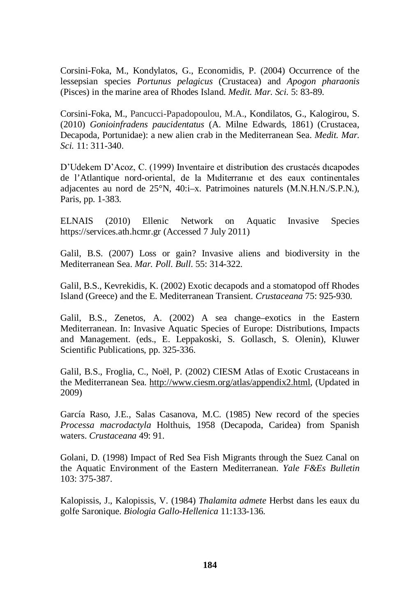Corsini-Foka, M., Kondylatos, G., Economidis, P. (2004) Occurrence of the lessepsian species *Portunus pelagicus* (Crustacea) and *Apogon pharaonis*  (Pisces) in the marine area of Rhodes Island. *Medit. Mar. Sci*. 5: 83-89.

Corsini-Foka, M., Pancucci-Papadopoulou, M.A., Kondilatos, G., Kalogirou, S. (2010) *Gonioinfradens paucidentatus* (A. Milne Edwards, 1861) (Crustacea, Decapoda, Portunidae): a new alien crab in the Mediterranean Sea. *Medit. Mar. Sci.* 11: 311-340.

D'Udekem D'Acoz, C. (1999) Inventaire et distribution des crustacés dιcapodes de l'Atlantique nord-oriental, de la Mιditerranιe et des eaux continentales adjacentes au nord de 25°N, 40:i–x. Patrimoines naturels (M.N.H.N./S.P.N.), Paris, pp. 1-383.

ELNAIS (2010) Ellenic Network on Aquatic Invasive Species https://services.ath.hcmr.gr (Accessed 7 July 2011)

Galil, B.S. (2007) Loss or gain? Invasive aliens and biodiversity in the Mediterranean Sea. *Mar. Poll. Bull*. 55: 314-322.

Galil, B.S., Kevrekidis, K. (2002) Exotic decapods and a stomatopod off Rhodes Island (Greece) and the E. Mediterranean Transient. *Crustaceana* 75: 925-930.

Galil, B.S., Zenetos, A. (2002) A sea change–exotics in the Eastern Mediterranean. In: Invasive Aquatic Species of Europe: Distributions, Impacts and Management. (eds., E. Leppakoski, S. Gollasch, S. Olenin), Kluwer Scientific Publications, pp. 325-336.

Galil, B.S., Froglia, C., Noël, P. (2002) CIESM Atlas of Exotic Crustaceans in the Mediterranean Sea*.* [http://www.ciesm.org/atlas/appendix2.html,](http://www.ciesm.org/atlas/appendix2.html) (Updated in 2009)

García Raso, J.E., Salas Casanova, M.C. (1985) New record of the species *Processa macrodactyla* Holthuis, 1958 (Decapoda, Caridea) from Spanish waters. *Crustaceana* 49: 91.

Golani, D. (1998) Impact of Red Sea Fish Migrants through the Suez Canal on the Aquatic Environment of the Eastern Mediterranean. *Yale F&Es Bulletin* 103: 375-387.

Kalopissis, J., Kalopissis, V. (1984) *Thalamita admete* Herbst dans les eaux du golfe Saronique. *Biologia Gallo-Hellenica* 11:133-136.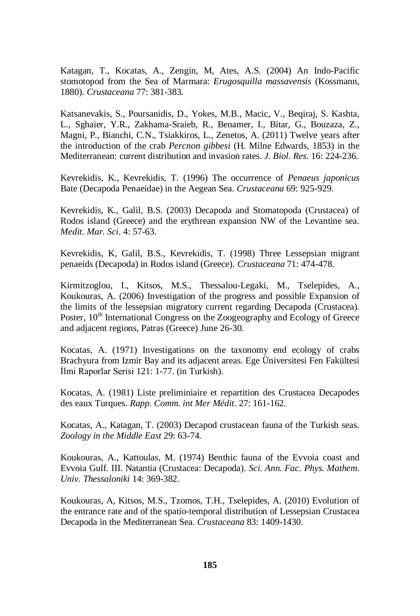Katagan, T., Kocatas, A., Zengin, M, Ates, A.S. (2004) An Indo-Pacific stomotopod from the Sea of Marmara: *Erugosquilla massavensis* (Kossmann, 1880). *Crustaceana* 77: 381-383.

Katsanevakis, S., Poursanidis, D., Yokes, M.B., Macic, V., Beqiraj, S. Kashta, L., Sghaier, Y.R., Zakhama-Sraieb, R., Benamer, I., Bitar, G., Bouzaza, Z., Magni, P., Bianchi, C.N., Tsiakkiros, L., Zenetos, A. (2011) Twelve years after the introduction of the crab *Percnon gibbesi* (H. Milne Edwards, 1853) in the Mediterranean: current distribution and invasion rates. *J. Biol. Res*. 16: 224-236.

Kevrekidis, K., Kevrekidis, T. (1996) The occurrence of *Penaeus japonicus*  Bate (Decapoda Penaeidae) in the Aegean Sea. *Crustaceana* 69: 925-929.

Kevrekidis, K., Galil, B.S. (2003) Decapoda and Stomatopoda (Crustacea) of Rodos island (Greece) and the erythrean expansion NW of the Levantine sea. *Medit. Mar. Sci*. 4: 57-63.

Kevrekidis, K, Galil, B.S., Kevrekidis, T. (1998) Three Lessepsian migrant penaeids (Decapoda) in Rodos island (Greece). *Crustaceana* 71: 474-478.

Kirmitzoglou, I., Kitsos, M.S., Thessalou-Legaki, M., Tselepides, A., Koukouras, A. (2006) Investigation of the progress and possible Expansion of the limits of the lessepsian migratory current regarding Decapoda (Crustacea). Poster, 10<sup>th</sup> International Congress on the Zoogeography and Ecology of Greece and adjacent regions, Patras (Greece) June 26-30.

Kocatas, A. (1971) Investigations on the taxonomy end ecology of crabs Brachyura from Izmir Bay and its adjacent areas. Ege Üniversitesi Fen Fakültesi İlmi Raporlar Serisi 121: 1-77. (in Turkish).

Kocatas, A. (1981) Liste preliminiaire et repartition des Crustacea Decapodes des eaux Turques. *Rapp. Comm. int Mer Médit*. 27: 161-162.

Kocatas, A., Katagan, T. (2003) Decapod crustacean fauna of the Turkish seas. *Zoology in the Middle East* 29: 63-74.

Koukouras, A., Kattoulas, M. (1974) Benthic fauna of the Evvoia coast and Evvoia Gulf. III. Natantia (Crustacea: Decapoda). *Sci. Ann. Fac. Phys. Mathem. Univ. Thessaloniki* 14: 369-382.

Koukouras, A, Kitsos, M.S., Tzomos, T.H., Tselepides, A. (2010) Evolution of the entrance rate and of the spatio-temporal distribution of Lessepsian Crustacea Decapoda in the Mediterranean Sea. *Crustaceana* 83: 1409-1430.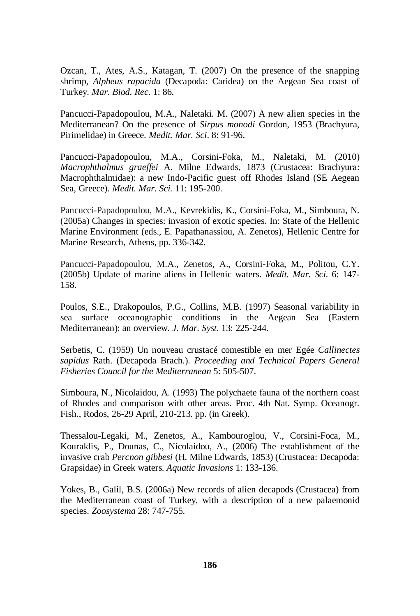Ozcan, T., Ates, A.S., Katagan, T. (2007) On the presence of the snapping shrimp, *Alpheus rapacida* (Decapoda: Caridea) on the Aegean Sea coast of Turkey. *Mar. Biod. Rec*. 1: 86.

Pancucci-Papadopoulou, M.A., Naletaki. M. (2007) A new alien species in the Mediterranean? On the presence of *Sirpus monodi* Gordon, 1953 (Brachyura, Pirimelidae) in Greece. *Medit. Mar. Sci*. 8: 91-96.

Pancucci-Papadopoulou, M.A., Corsini-Foka, M., Naletaki, M. (2010) *Macrophthalmus graeffei* A. Milne Edwards, 1873 (Crustacea: Brachyura: Macrophthalmidae): a new Indo-Pacific guest off Rhodes Island (SE Aegean Sea, Greece). *Medit. Mar. Sci.* 11: 195-200.

Pancucci-Papadopoulou, M.A., Kevrekidis, K., Corsini-Foka, M., Simboura, N. (2005a) Changes in species: invasion of exotic species. In: State of the Hellenic Marine Environment (eds., E. Papathanassiou, A. Zenetos)*,* Hellenic Centre for Marine Research, Athens, pp. 336-342.

Pancucci-Papadopoulou, M.A., Zenetos, A., Corsini-Foka, M., Politou, C.Y. (2005b) Update of marine aliens in Hellenic waters. *Medit. Mar. Sci*. 6: 147- 158.

Poulos, S.E., Drakopoulos, P.G., Collins, M.B. (1997) Seasonal variability in sea surface oceanographic conditions in the Aegean Sea (Eastern Mediterranean): an overview. *J. Mar. Syst.* 13: 225-244.

Serbetis, C. (1959) Un nouveau crustacé comestible en mer Egée *Callinectes sapidus* Rath. (Decapoda Brach.). *Proceeding and Technical Papers General Fisheries Council for the Mediterranean* 5: 505-507.

Simboura, N., Nicolaidou, A. (1993) The polychaete fauna of the northern coast of Rhodes and comparison with other areas. Proc. 4th Nat. Symp. Oceanogr. Fish., Rodos, 26-29 April, 210-213. pp. (in Greek).

Thessalou-Legaki, M., Zenetos, A., Kambouroglou, V., Corsini-Foca, M., Kouraklis, P., Dounas, C., Nicolaidou, A., (2006) The establishment of the invasive crab *Percnon gibbesi* (H. Milne Edwards, 1853) (Crustacea: Decapoda: Grapsidae) in Greek waters. *Aquatic Invasions* 1: 133-136.

Yokes, B., Galil, B.S. (2006a) New records of alien decapods (Crustacea) from the Mediterranean coast of Turkey, with a description of a new palaemonid species. *Zoosystema* 28: 747-755.